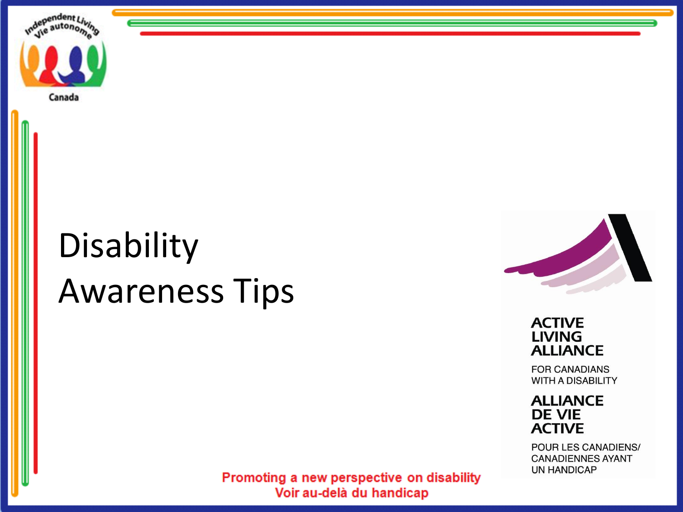

# Disability Awareness Tips



**ACTIVE LIVING ALLIANCE** 

**FOR CANADIANS WITH A DISABILITY** 

**ALLIANCE DE VIE ACTIVE** 

POUR LES CANADIENS/ **CANADIENNES AYANT UN HANDICAP**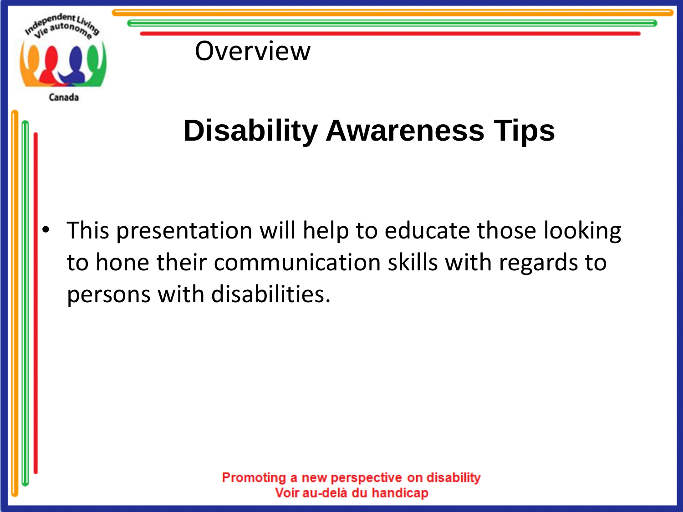

**Overview** 

# **Disability Awareness Tips**

This presentation will help to educate those looking to hone their communication skills with regards to persons with disabilities.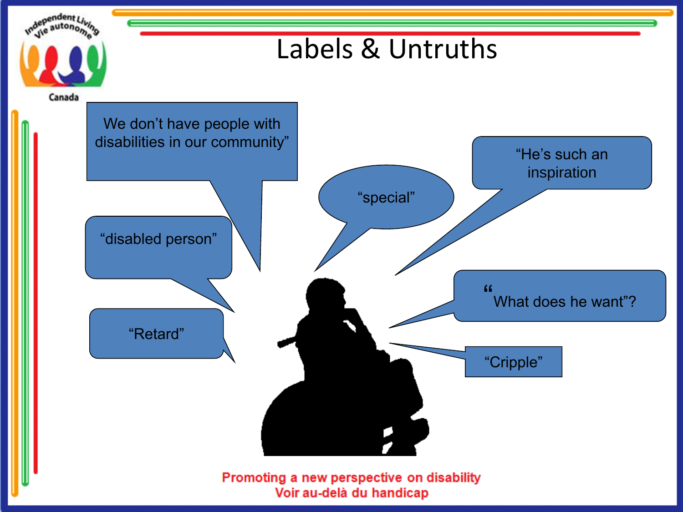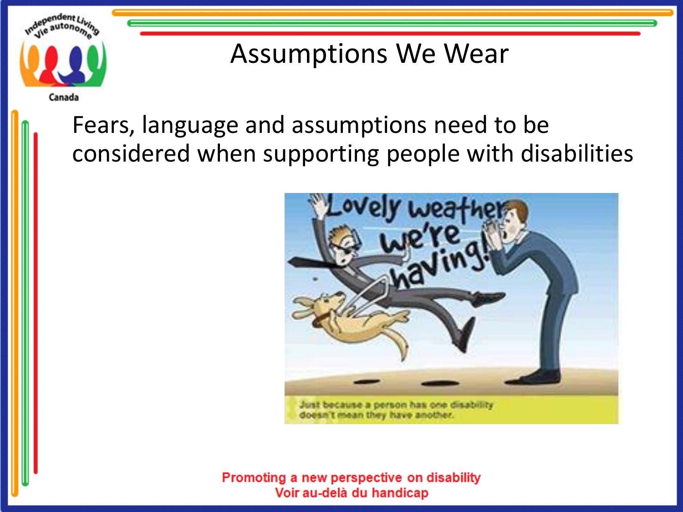

#### Assumptions We Wear

#### Fears, language and assumptions need to be considered when supporting people with disabilities



doesn't mean they have another.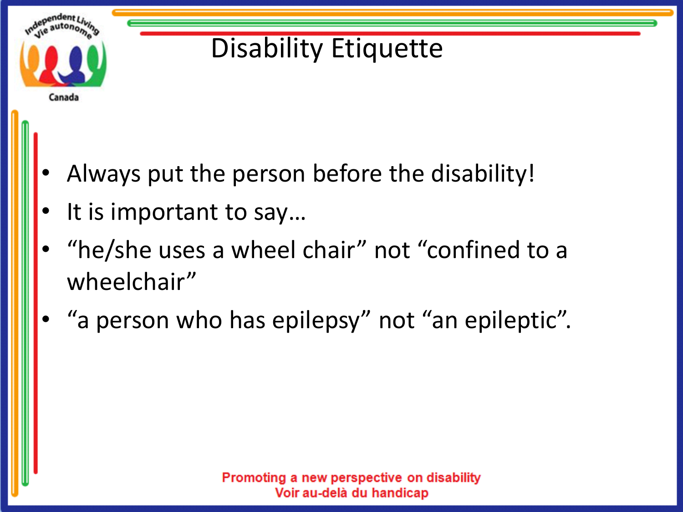

## Disability Etiquette

- Always put the person before the disability!
- It is important to say...
- "he/she uses a wheel chair" not "confined to a wheelchair"
- "a person who has epilepsy" not "an epileptic".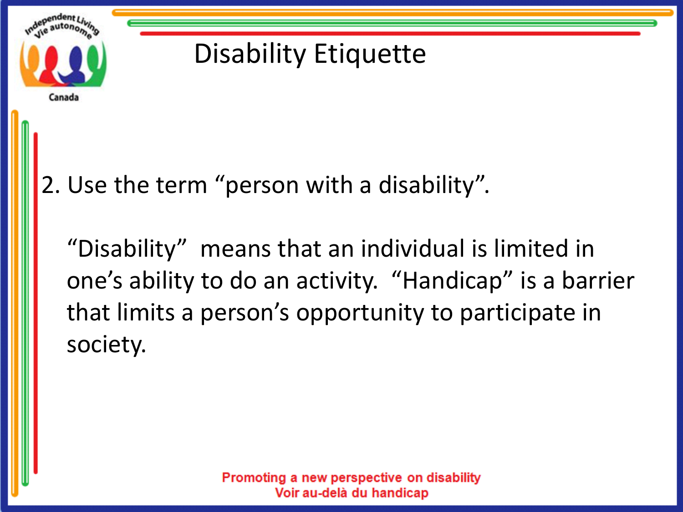

## Disability Etiquette

2. Use the term "person with a disability".

"Disability" means that an individual is limited in one's ability to do an activity. "Handicap" is a barrier that limits a person's opportunity to participate in society.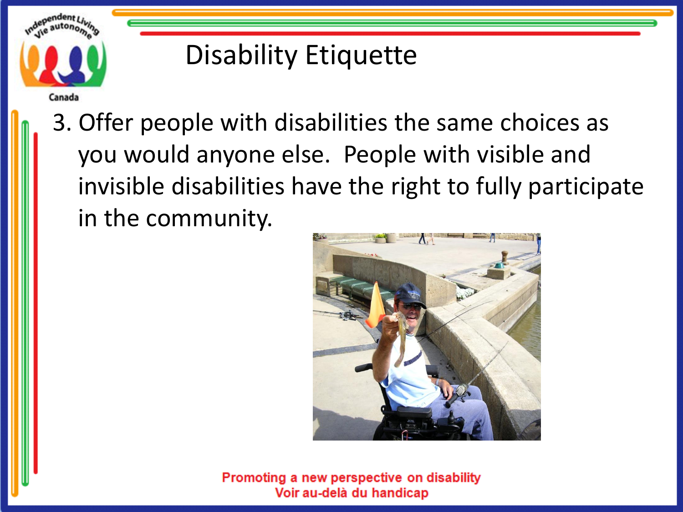

#### Disability Etiquette

3. Offer people with disabilities the same choices as you would anyone else. People with visible and invisible disabilities have the right to fully participate in the community.

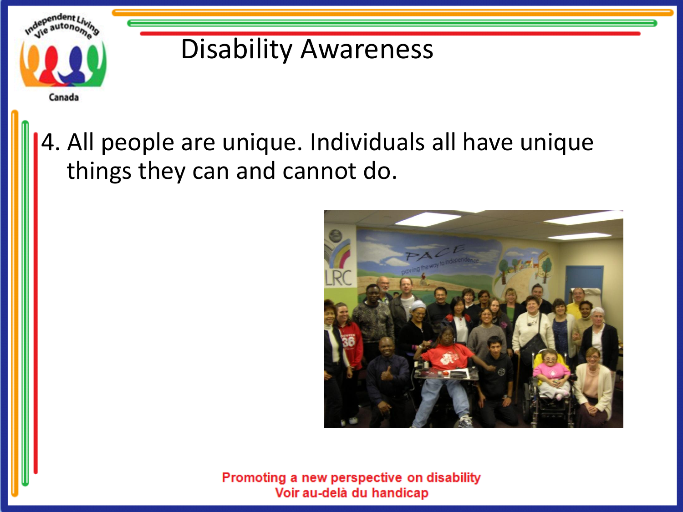

#### 4. All people are unique. Individuals all have unique things they can and cannot do.

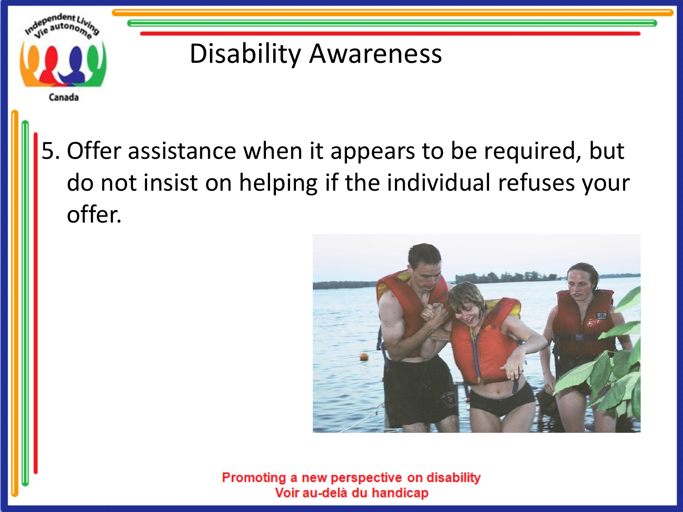

5. Offer assistance when it appears to be required, but do not insist on helping if the individual refuses your offer.

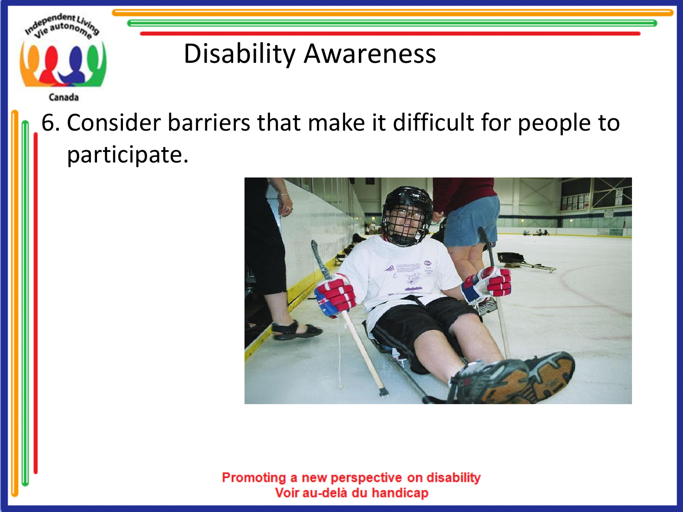

### 6. Consider barriers that make it difficult for people to participate.

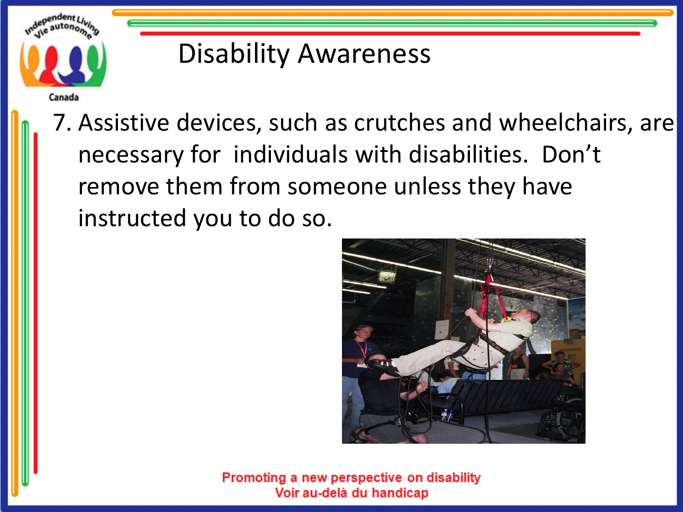

7. Assistive devices, such as crutches and wheelchairs, are necessary for individuals with disabilities. Don't remove them from someone unless they have instructed you to do so.

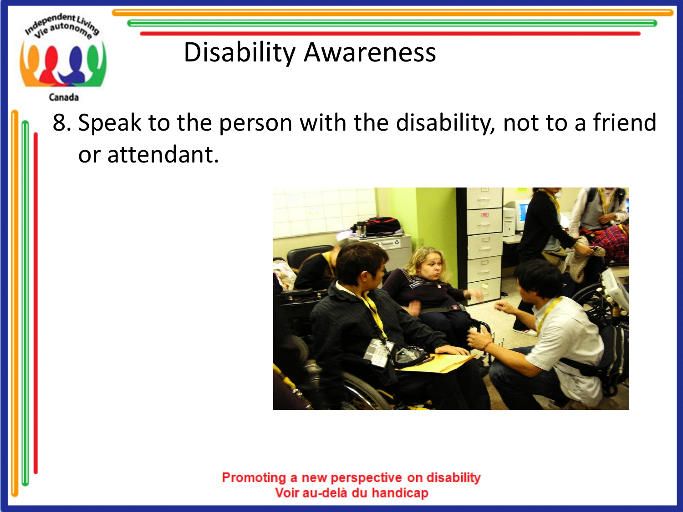

Canada

#### 8. Speak to the person with the disability, not to a friend or attendant.

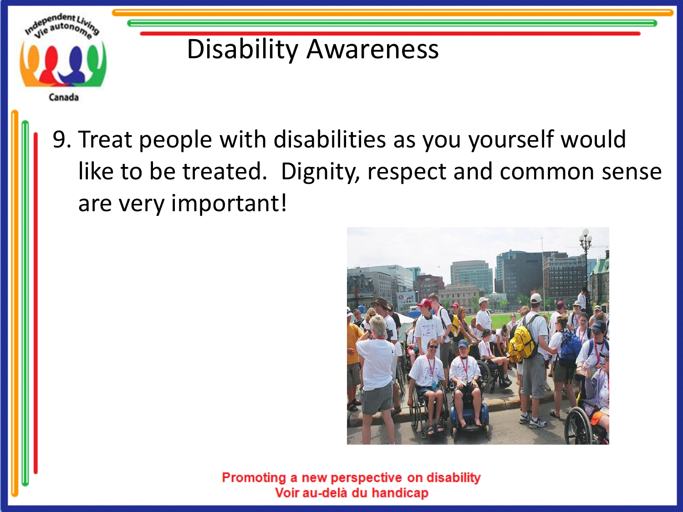

9. Treat people with disabilities as you yourself would like to be treated. Dignity, respect and common sense are very important!

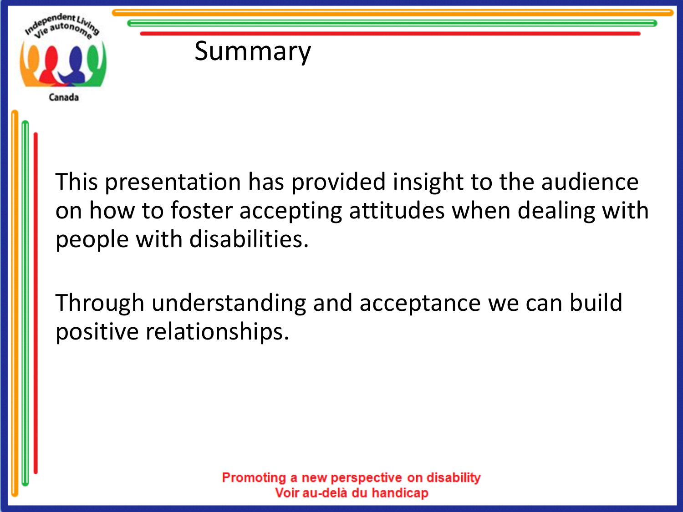



This presentation has provided insight to the audience on how to foster accepting attitudes when dealing with people with disabilities.

Through understanding and acceptance we can build positive relationships.